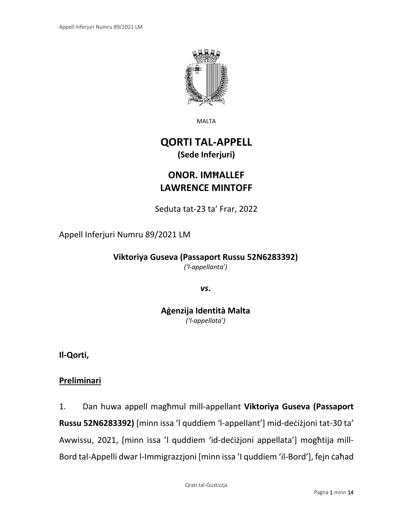

MALTA

# **QORTI TAL-APPELL (Sede Inferjuri)**

# **ONOR. IMĦALLEF LAWRENCE MINTOFF**

Seduta tat-23 ta' Frar, 2022

# Appell Inferjuri Numru 89/2021 LM

**Viktoriya Guseva (Passaport Russu 52N6283392)**

*('l-appellanta')*

*vs***.**

**Aġenzija Identità Malta** *('l-appellata')*

**Il-Qorti,**

## **Preliminari**

1. Dan huwa appell magħmul mill-appellant **Viktoriya Guseva (Passaport Russu 52N6283392)** [minn issa 'l quddiem 'l-appellant'] mid-deċiżjoni tat-30 ta' Awwissu, 2021, [minn issa 'l quddiem 'id-deċiżjoni appellata'] mogħtija mill-Bord tal-Appelli dwar l-Immigrazzjoni [minn issa 'I quddiem 'il-Bord'], fejn caħad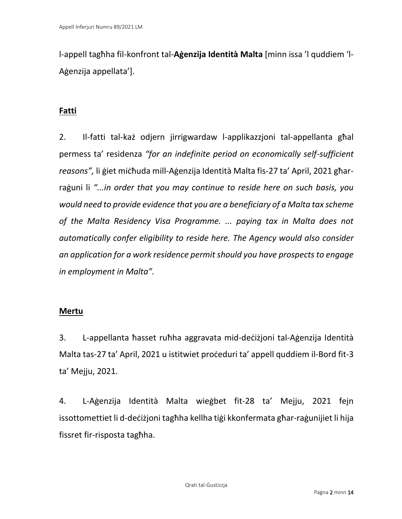l-appell tagħha fil-konfront tal-**Aġenzija Identità Malta** [minn issa 'l quddiem 'l-Aġenzija appellata'].

# **Fatti**

2. Il-fatti tal-każ odjern jirrigwardaw l-applikazzjoni tal-appellanta għal permess ta' residenza *"for an indefinite period on economically self-sufficient reasons",* li ġiet miċħuda mill-Aġenzija Identità Malta fis-27 ta' April, 2021 għarraġuni li *"...in order that you may continue to reside here on such basis, you would need to provide evidence that you are a beneficiary of a Malta tax scheme of the Malta Residency Visa Programme. ... paying tax in Malta does not automatically confer eligibility to reside here. The Agency would also consider an application for a work residence permit should you have prospects to engage in employment in Malta".* 

## **Mertu**

3. L-appellanta ħasset ruħha aggravata mid-deċiżjoni tal-Aġenzija Identità Malta tas-27 ta' April, 2021 u istitwiet proċeduri ta' appell quddiem il-Bord fit-3 ta' Mejju, 2021.

4. L-Aġenzija Identità Malta wieġbet fit-28 ta' Mejju, 2021 fejn issottomettiet li d-deċiżjoni tagħha kellha tiġi kkonfermata għar-raġunijiet li hija fissret fir-risposta tagħha.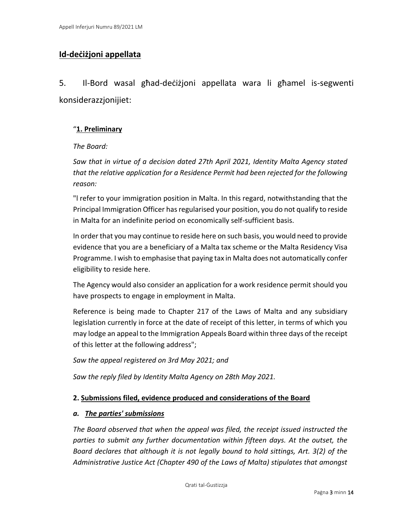## **Id-deċiżjoni appellata**

5. Il-Bord wasal għad-deċiżjoni appellata wara li għamel is-segwenti konsiderazzjonijiet:

#### "**1. Preliminary**

#### *The Board:*

*Saw that in virtue of a decision dated 27th April 2021, Identity Malta Agency stated that the relative application for a Residence Permit had been rejected for the following reason:*

"l refer to your immigration position in Malta. In this regard, notwithstanding that the Principal Immigration Officer has regularised your position, you do not qualify to reside in Malta for an indefinite period on economically self-sufficient basis.

In order that you may continue to reside here on such basis, you would need to provide evidence that you are a beneficiary of a Malta tax scheme or the Malta Residency Visa Programme. I wish to emphasise that paying tax in Malta does not automatically confer eligibility to reside here.

The Agency would also consider an application for a work residence permit should you have prospects to engage in employment in Malta.

Reference is being made to Chapter 217 of the Laws of Malta and any subsidiary legislation currently in force at the date of receipt of this letter, in terms of which you may lodge an appeal to the Immigration Appeals Board within three days of the receipt of this letter at the following address";

*Saw the appeal registered on 3rd May 2021; and*

*Saw the reply filed by Identity Malta Agency on 28th May 2021.*

#### **2. Submissions filed, evidence produced and considerations of the Board**

#### *a. The parties' submissions*

*The Board observed that when the appeal was filed, the receipt issued instructed the parties to submit any further documentation within fifteen days. At the outset, the Board declares that although it is not legally bound to hold sittings, Art. 3(2) of the Administrative Justice Act (Chapter 490 of the Laws of Malta) stipulates that amongst*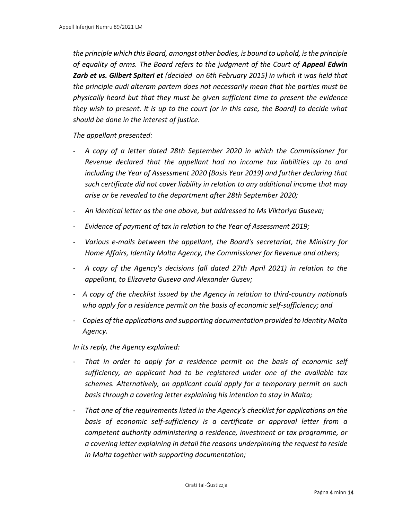*the principle which this Board, amongst other bodies, is bound to uphold, is the principle of equality of arms. The Board refers to the judgment of the Court of Appeal Edwin Zarb et vs. Gilbert Spiteri et (decided on 6th February 2015) in which it was held that the principle audi alteram partem does not necessarily mean that the parties must be physically heard but that they must be given sufficient time to present the evidence they wish to present. It is up to the court (or in this case, the Board) to decide what should be done in the interest of justice.*

*The appellant presented:*

- *A copy of a letter dated 28th September 2020 in which the Commissioner for Revenue declared that the appellant had no income tax liabilities up to and including the Year of Assessment 2020 (Basis Year 2019) and further declaring that such certificate did not cover liability in relation to any additional income that may arise or be revealed to the department after 28th September 2020;*
- *An identical letter as the one above, but addressed to Ms Viktoriya Guseva;*
- *Evidence of payment of tax in relation to the Year of Assessment 2019;*
- *Various e-mails between the appellant, the Board's secretariat, the Ministry for Home Affairs, Identity Malta Agency, the Commissioner for Revenue and others;*
- *A copy of the Agency's decisions (all dated 27th April 2021) in relation to the appellant, to Elizaveta Guseva and Alexander Gusev;*
- *- A copy of the checklist issued by the Agency in relation to third-country nationals who apply for a residence permit on the basis of economic self-sufficiency; and*
- *- Copies of the applications and supporting documentation provided to Identity Malta Agency.*

*In its reply, the Agency explained:*

- *That in order to apply for a residence permit on the basis of economic self sufficiency, an applicant had to be registered under one of the available tax schemes. Alternatively, an applicant could apply for a temporary permit on such basis through a covering letter explaining his intention to stay in Malta;*
- *That one of the requirements listed in the Agency's checklist for applications on the basis of economic self-sufficiency is a certificate or approval letter from a competent authority administering a residence, investment or tax programme, or a covering letter explaining in detail the reasons underpinning the request to reside in Malta together with supporting documentation;*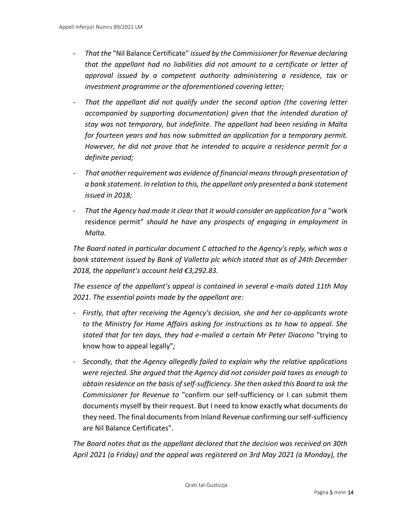- *That the* "Nil Balance Certificate" *issued by the Commissioner for Revenue declaring that the appellant had no liabilities did not amount to a certificate or letter of approval issued by a competent authority administering a residence, tax or investment programme or the aforementioned covering letter;*
- *That the appellant did not qualify under the second option (the covering letter accompanied by supporting documentation) given that the intended duration of stay was not temporary, but indefinite. The appellant had been residing in Malta for fourteen years and has now submitted an application for a temporary permit. However, he did not prove that he intended to acquire a residence permit for a definite period;*
- *That another requirement was evidence of financial means through presentation of a bank statement. In relation to this, the appellant only presented a bank statement issued in 2018;*
- *That the Agency had made it clear that it would consider an application for a* "work residence permit" *should he have any prospects of engaging in employment in Malta.*

*The Board noted in particular document C attached to the Agency's reply, which was a bank statement issued by Bank of Valletta plc which stated that as of 24th December 2018, the appellant's account held €3,292.83.*

*The essence of the appellant's appeal is contained in several e-mails dated 11th May 2021. The essential points made by the appellant are:*

- *- Firstly, that after receiving the Agency's decision, she and her co-applicants wrote to the Ministry for Home Affairs asking for instructions as to how to appeal. She stated that for ten days, they had e-mailed a certain Mr Peter Diacono* "trying to know how to appeal legally"*;*
- *- Secondly, that the Agency allegedly failed to explain why the relative applications were rejected. She argued that the Agency did not consider paid taxes as enough to obtain residence on the basis of self-sufficiency. She then asked this Board to ask the Commissioner for Revenue to* "confirm our self-sufficiency or I can submit them documents myself by their request. But I need to know exactly what documents do they need. The final documents from Inland Revenue confirming our self-sufficiency are Nil Balance Certificates".

*The Board notes that as the appellant declared that the decision was received on 30th April 2021 (a Friday) and the appeal was registered on 3rd May 2021 (a Monday), the*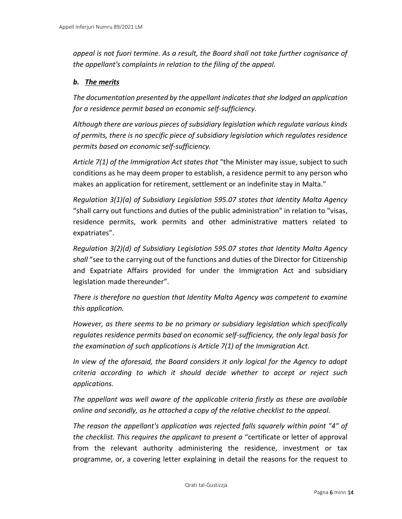*appeal is not fuori termine. As a result, the Board shall not take further cognisance of the appellant's complaints in relation to the filing of the appeal.*

#### *b. The merits*

*The documentation presented by the appellant indicates that she lodged an application for a residence permit based on economic self-sufficiency.*

*Although there are various pieces of subsidiary legislation which regulate various kinds of permits, there is no specific piece of subsidiary legislation which regulates residence permits based on economic self-sufficiency.*

*Article 7(1) of the Immigration Act states that* "the Minister may issue, subject to such conditions as he may deem proper to establish, a residence permit to any person who makes an application for retirement, settlement or an indefinite stay in Malta."

*Regulation 3(1)(a) of Subsidiary Legislation 595.07 states that Identity Malta Agency*  "shall carry out functions and duties of the public administration" in relation to "visas, residence permits, work permits and other administrative matters related to expatriates".

*Regulation 3(2)(d) of Subsidiary Legislation 595.07 states that Identity Malta Agency shall* "see to the carrying out of the functions and duties of the Director for Citizenship and Expatriate Affairs provided for under the Immigration Act and subsidiary legislation made thereunder".

*There is therefore no question that Identity Malta Agency was competent to examine this application.*

*However, as there seems to be no primary or subsidiary legislation which specifically regulates residence permits based on economic self-sufficiency, the only legal basis for the examination of such applications is Article 7(1) of the Immigration Act.*

*In view of the aforesaid, the Board considers it only logical for the Agency to adopt criteria according to which it should decide whether to accept or reject such applications.*

*The appellant was well aware of the applicable criteria firstly as these are available online and secondly, as he attached a copy of the relative checklist to the appeal.*

*The reason the appellant's application was rejected falls squarely within point "4" of the checklist. This requires the applicant to present a* "certificate or letter of approval from the relevant authority administering the residence, investment or tax programme, or, a covering letter explaining in detail the reasons for the request to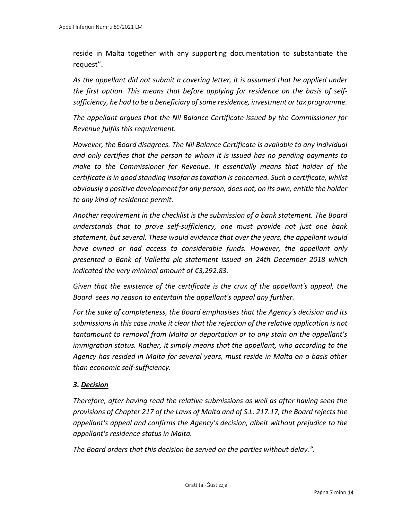reside in Malta together with any supporting documentation to substantiate the request".

*As the appellant did not submit a covering letter, it is assumed that he applied under the first option. This means that before applying for residence on the basis of selfsufficiency, he had to be a beneficiary of some residence, investment or tax programme.* 

*The appellant argues that the Nil Balance Certificate issued by the Commissioner for Revenue fulfils this requirement.*

*However, the Board disagrees. The Nil Balance Certificate is available to any individual and only certifies that the person to whom it is issued has no pending payments to make to the Commissioner for Revenue. It essentially means that holder of the certificate is in good standing insofar as taxation is concerned. Such a certificate, whilst obviously a positive development for any person, does not, on its own, entitle the holder to any kind of residence permit.*

*Another requirement in the checklist is the submission of a bank statement. The Board understands that to prove self-sufficiency, one must provide not just one bank statement, but several. These would evidence that over the years, the appellant would have owned or had access to considerable funds. However, the appellant only presented a Bank of Valletta plc statement issued on 24th December 2018 which indicated the very minimal amount of €3,292.83.*

*Given that the existence of the certificate is the crux of the appellant's appeal, the Board sees no reason to entertain the appellant's appeal any further.* 

*For the sake of completeness, the Board emphasises that the Agency's decision and its submissions in this case make it clear that the rejection of the relative application is not tantamount to removal from Malta or deportation or to any stain on the appellant's immigration status. Rather, it simply means that the appellant, who according to the Agency has resided in Malta for several years, must reside in Malta on a basis other than economic self-sufficiency.*

#### *3. Decision*

*Therefore, after having read the relative submissions as well as after having seen the provisions of Chapter 217 of the Laws of Malta and of S.L. 217.17, the Board rejects the appellant's appeal and confirms the Agency's decision, albeit without prejudice to the appellant's residence status in Malta.*

*The Board orders that this decision be served on the parties without delay.".*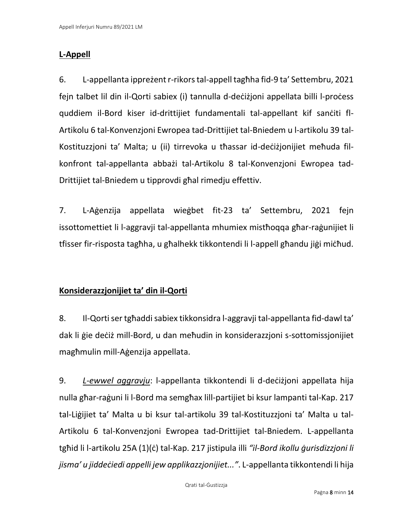## **L-Appell**

6. L-appellanta ippreżent r-rikors tal-appell tagħha fid-9 ta' Settembru, 2021 fejn talbet lil din il-Qorti sabiex (i) tannulla d-deċiżjoni appellata billi l-proċess quddiem il-Bord kiser id-drittijiet fundamentali tal-appellant kif sanċiti fl-Artikolu 6 tal-Konvenzjoni Ewropea tad-Drittijiet tal-Bniedem u l-artikolu 39 tal-Kostituzzjoni ta' Malta; u (ii) tirrevoka u tħassar id-deċiżjonijiet meħuda filkonfront tal-appellanta abbażi tal-Artikolu 8 tal-Konvenzjoni Ewropea tad-Drittijiet tal-Bniedem u tipprovdi għal rimedju effettiv.

7. L-Aġenzija appellata wieġbet fit-23 ta' Settembru, 2021 fejn issottomettiet li l-aggravji tal-appellanta mhumiex mistħoqqa għar-raġunijiet li tfisser fir-risposta tagħha, u għalhekk tikkontendi li l-appell għandu jiġi miċħud.

# **Konsiderazzjonijiet ta' din il-Qorti**

8. Il-Qorti ser tgħaddi sabiex tikkonsidra l-aggravji tal-appellanta fid-dawl ta' dak li ġie deċiż mill-Bord, u dan meħudin in konsiderazzjoni s-sottomissjonijiet magħmulin mill-Aġenzija appellata.

9. *L*-*ewwel aggravju*: l-appellanta tikkontendi li d-deċiżjoni appellata hija nulla għar-raġuni li l-Bord ma semgħax lill-partijiet bi ksur lampanti tal-Kap. 217 tal-Liġijiet ta' Malta u bi ksur tal-artikolu 39 tal-Kostituzzjoni ta' Malta u tal-Artikolu 6 tal-Konvenzjoni Ewropea tad-Drittijiet tal-Bniedem. L-appellanta tgħid li l-artikolu 25A (1)(ċ) tal-Kap. 217 jistipula illi *"il-Bord ikollu ġurisdizzjoni li jisma' u jiddeċiedi appelli jew applikazzjonijiet..."*. L-appellanta tikkontendi li hija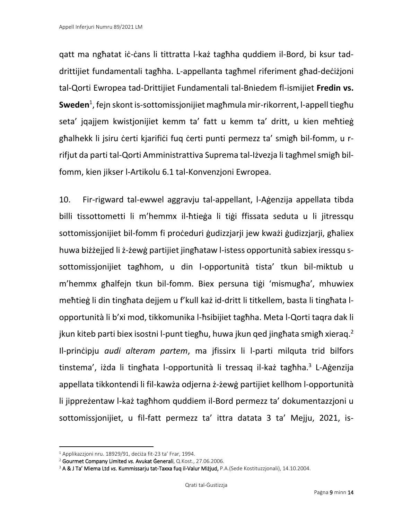qatt ma ngħatat iċ-ċans li tittratta l-każ tagħha quddiem il-Bord, bi ksur taddrittijiet fundamentali tagħha. L-appellanta tagħmel riferiment għad-deċiżjoni tal-Qorti Ewropea tad-Drittijiet Fundamentali tal-Bniedem fl-ismijiet **Fredin vs. Sweden**<sup>1</sup> , fejn skont is-sottomissjonijiet magħmula mir-rikorrent, l-appell tiegħu seta' jqajjem kwistjonijiet kemm ta' fatt u kemm ta' dritt, u kien meħtieġ għalhekk li jsiru ċerti kjarifiċi fuq ċerti punti permezz ta' smigħ bil-fomm, u rrifjut da parti tal-Qorti Amministrattiva Suprema tal-Iżvezja li tagħmel smigħ bilfomm, kien jikser l-Artikolu 6.1 tal-Konvenzjoni Ewropea.

10. Fir-rigward tal-ewwel aggravju tal-appellant, l-Aġenzija appellata tibda billi tissottometti li m'hemmx il-ħtieġa li tiġi ffissata seduta u li jitressqu sottomissjonijiet bil-fomm fi proċeduri ġudizzjarji jew kważi ġudizzjarji, għaliex huwa biżżejjed li ż-żewġ partijiet jingħataw l-istess opportunità sabiex iressqu ssottomissjonijiet tagħhom, u din l-opportunità tista' tkun bil-miktub u m'hemmx għalfejn tkun bil-fomm. Biex persuna tiġi 'mismugħa', mhuwiex meħtieġ li din tingħata dejjem u f'kull każ id-dritt li titkellem, basta li tingħata lopportunità li b'xi mod, tikkomunika l-ħsibijiet tagħha. Meta l-Qorti taqra dak li jkun kiteb parti biex isostni l-punt tiegħu, huwa jkun qed jingħata smigħ xieraq.<sup>2</sup> Il-prinċipju *audi alteram partem*, ma jfissirx li l-parti milquta trid bilfors tinstema', iżda li tingħata l-opportunità li tressaq il-każ tagħha.<sup>3</sup> L-Aġenzija appellata tikkontendi li fil-kawża odjerna ż-żewġ partijiet kellhom l-opportunità li jippreżentaw l-każ tagħhom quddiem il-Bord permezz ta' dokumentazzjoni u sottomissjonijiet, u fil-fatt permezz ta' ittra datata 3 ta' Mejju, 2021, is-

<sup>1</sup> Applikazzjoni nru. 18929/91, deċiża fit-23 ta' Frar, 1994.

<sup>2</sup> Gourmet Company Limited *vs.* Avukat Ġenerali, Q.Kost., 27.06.2006.

<sup>3</sup> A & J Ta' Miema Ltd *vs.* Kummissarju tat-Taxxa fuq il-Valur Miżjud, P.A.(Sede Kostituzzjonali), 14.10.2004.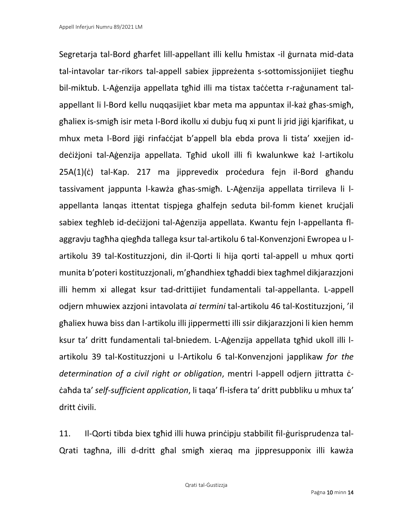Segretarja tal-Bord għarfet lill-appellant illi kellu ħmistax -il ġurnata mid-data tal-intavolar tar-rikors tal-appell sabiex jippreżenta s-sottomissjonijiet tiegħu bil-miktub. L-Aġenzija appellata tgħid illi ma tistax taċċetta r-raġunament talappellant li l-Bord kellu nuqqasijiet kbar meta ma appuntax il-każ għas-smigħ, għaliex is-smigħ isir meta l-Bord ikollu xi dubju fuq xi punt li jrid jiġi kjarifikat, u mhux meta l-Bord jiġi rinfaċċjat b'appell bla ebda prova li tista' xxejjen iddeċiżjoni tal-Aġenzija appellata. Tgħid ukoll illi fi kwalunkwe każ l-artikolu 25A(1)(ċ) tal-Kap. 217 ma jipprevedix proċedura fejn il-Bord għandu tassivament jappunta l-kawża għas-smigħ. L-Aġenzija appellata tirrileva li lappellanta lanqas ittentat tispjega għalfejn seduta bil-fomm kienet kruċjali sabiex tegħleb id-deċiżjoni tal-Aġenzija appellata. Kwantu fejn l-appellanta flaggravju tagħha qiegħda tallega ksur tal-artikolu 6 tal-Konvenzjoni Ewropea u lartikolu 39 tal-Kostituzzjoni, din il-Qorti li hija qorti tal-appell u mhux qorti munita b'poteri kostituzzjonali, m'għandhiex tgħaddi biex tagħmel dikjarazzjoni illi hemm xi allegat ksur tad-drittijiet fundamentali tal-appellanta. L-appell odjern mhuwiex azzjoni intavolata *ai termini* tal-artikolu 46 tal-Kostituzzjoni, 'il għaliex huwa biss dan l-artikolu illi jippermetti illi ssir dikjarazzjoni li kien hemm ksur ta' dritt fundamentali tal-bniedem. L-Aġenzija appellata tgħid ukoll illi lartikolu 39 tal-Kostituzzjoni u l-Artikolu 6 tal-Konvenzjoni japplikaw *for the determination of a civil right or obligation*, mentri l-appell odjern jittratta ċċaħda ta' *self-sufficient application*, li taqa' fl-isfera ta' dritt pubbliku u mhux ta' dritt ċivili.

11. Il-Qorti tibda biex tgħid illi huwa prinċipju stabbilit fil-ġurisprudenza tal-Qrati tagħna, illi d-dritt għal smigħ xieraq ma jippresupponix illi kawża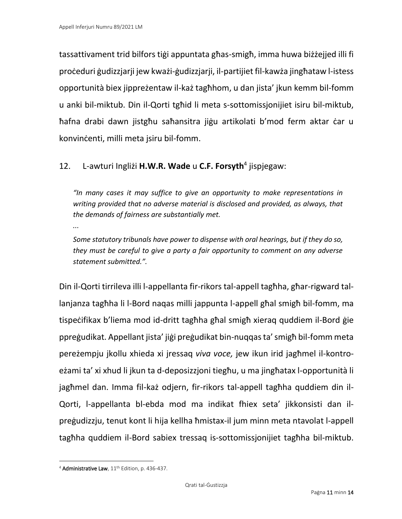*...*

tassattivament trid bilfors tiġi appuntata għas-smigħ, imma huwa biżżejjed illi fi proċeduri ġudizzjarji jew kważi-ġudizzjarji, il-partijiet fil-kawża jingħataw l-istess opportunità biex jippreżentaw il-każ tagħhom, u dan jista' jkun kemm bil-fomm u anki bil-miktub. Din il-Qorti tgħid li meta s-sottomissjonijiet isiru bil-miktub, ħafna drabi dawn jistgħu saħansitra jiġu artikolati b'mod ferm aktar ċar u konvinċenti, milli meta jsiru bil-fomm.

## 12. L-awturi Ingliżi **H.W.R. Wade** u **C.F. Forsyth**<sup>4</sup> jispjegaw:

*"In many cases it may suffice to give an opportunity to make representations in writing provided that no adverse material is disclosed and provided, as always, that the demands of fairness are substantially met.* 

*Some statutory tribunals have power to dispense with oral hearings, but if they do so, they must be careful to give a party a fair opportunity to comment on any adverse statement submitted.".*

Din il-Qorti tirrileva illi l-appellanta fir-rikors tal-appell tagħha, għar-rigward tallanjanza tagħha li l-Bord naqas milli jappunta l-appell għal smigħ bil-fomm, ma tispeċifikax b'liema mod id-dritt tagħha għal smigħ xieraq quddiem il-Bord ġie ppreġudikat. Appellant jista' jiġi preġudikat bin-nuqqas ta' smigħ bil-fomm meta pereżempju jkollu xhieda xi jressaq *viva voce,* jew ikun irid jagħmel il-kontroeżami ta' xi xhud li jkun ta d-deposizzjoni tiegħu, u ma jingħatax l-opportunità li jagħmel dan. Imma fil-każ odjern, fir-rikors tal-appell tagħha quddiem din il-Qorti, l-appellanta bl-ebda mod ma indikat fhiex seta' jikkonsisti dan ilpreġudizzju, tenut kont li hija kellha ħmistax-il jum minn meta ntavolat l-appell tagħha quddiem il-Bord sabiex tressaq is-sottomissjonijiet tagħha bil-miktub.

<sup>&</sup>lt;sup>4</sup> Administrative Law, 11<sup>th</sup> Edition, p. 436-437.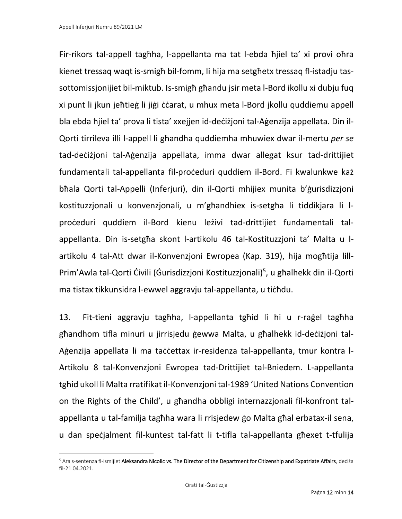Fir-rikors tal-appell tagħha, l-appellanta ma tat l-ebda ħjiel ta' xi provi oħra kienet tressaq waqt is-smigħ bil-fomm, li hija ma setgħetx tressaq fl-istadju tassottomissjonijiet bil-miktub. Is-smigħ għandu jsir meta l-Bord ikollu xi dubju fuq xi punt li jkun jeħtieġ li jiġi ċċarat, u mhux meta l-Bord jkollu quddiemu appell bla ebda ħjiel ta' prova li tista' xxejjen id-deċiżjoni tal-Aġenzija appellata. Din il-Qorti tirrileva illi l-appell li għandha quddiemha mhuwiex dwar il-mertu *per se* tad-deċiżjoni tal-Aġenzija appellata, imma dwar allegat ksur tad-drittijiet fundamentali tal-appellanta fil-proċeduri quddiem il-Bord. Fi kwalunkwe każ bħala Qorti tal-Appelli (Inferjuri), din il-Qorti mhijiex munita b'ġurisdizzjoni kostituzzjonali u konvenzjonali, u m'għandhiex is-setgħa li tiddikjara li lproċeduri quddiem il-Bord kienu leżivi tad-drittijiet fundamentali talappellanta. Din is-setgħa skont l-artikolu 46 tal-Kostituzzjoni ta' Malta u lartikolu 4 tal-Att dwar il-Konvenzjoni Ewropea (Kap. 319), hija mogħtija lill-Prim'Awla tal-Qorti Ċivili (Ġurisdizzjoni Kostituzzjonali)<sup>5</sup>, u għalhekk din il-Qorti ma tistax tikkunsidra l-ewwel aggravju tal-appellanta, u tichdu.

13. Fit-tieni aggravju tagħha, l-appellanta tgħid li hi u r-raġel tagħha għandhom tifla minuri u jirrisjedu ġewwa Malta, u għalhekk id-deċiżjoni tal-Agenzija appellata li ma taċċettax ir-residenza tal-appellanta, tmur kontra l-Artikolu 8 tal-Konvenzjoni Ewropea tad-Drittijiet tal-Bniedem. L-appellanta tgħid ukoll li Malta rratifikat il-Konvenzjoni tal-1989 'United Nations Convention on the Rights of the Child', u għandha obbligi internazzjonali fil-konfront talappellanta u tal-familja tagħha wara li rrisjedew ġo Malta għal erbatax-il sena, u dan speċjalment fil-kuntest tal-fatt li t-tifla tal-appellanta għexet t-tfulija

<sup>5</sup> Ara s-sentenza fl-ismijiet Aleksandra Nicolic *vs.* The Director of the Department for Citizenship and Expatriate Affairs, deċiża fil-21.04.2021.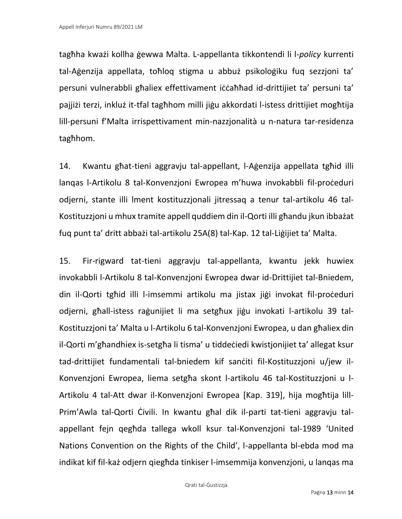tagħha kważi kollha ġewwa Malta. L-appellanta tikkontendi li l-*policy* kurrenti tal-Aġenzija appellata, toħloq stigma u abbuż psikoloġiku fuq sezzjoni ta' persuni vulnerabbli għaliex effettivament iċċaħħad id-drittijiet ta' persuni ta' pajjiżi terzi, inkluż it-tfal tagħhom milli jiġu akkordati l-istess drittijiet mogħtija lill-persuni f'Malta irrispettivament min-nazzjonalità u n-natura tar-residenza tagħhom.

14. Kwantu għat-tieni aggravju tal-appellant, l-Aġenzija appellata tgħid illi lanqas l-Artikolu 8 tal-Konvenzjoni Ewropea m'huwa invokabbli fil-proċeduri odjerni, stante illi lment kostituzzjonali jitressaq a tenur tal-artikolu 46 tal-Kostituzzjoni u mhux tramite appell quddiem din il-Qorti illi għandu jkun ibbażat fuq punt ta' dritt abbażi tal-artikolu 25A(8) tal-Kap. 12 tal-Liġijiet ta' Malta.

15. Fir-rigward tat-tieni aggravju tal-appellanta, kwantu jekk huwiex invokabbli l-Artikolu 8 tal-Konvenzjoni Ewropea dwar id-Drittijiet tal-Bniedem, din il-Qorti tgħid illi l-imsemmi artikolu ma jistax jiġi invokat fil-proċeduri odjerni, għall-istess raġunijiet li ma setgħux jiġu invokati l-artikolu 39 tal-Kostituzzjoni ta' Malta u l-Artikolu 6 tal-Konvenzjoni Ewropea, u dan għaliex din il-Qorti m'għandhiex is-setgħa li tisma' u tiddeċiedi kwistjonijiet ta' allegat ksur tad-drittijiet fundamentali tal-bniedem kif sanċiti fil-Kostituzzjoni u/jew il-Konvenzjoni Ewropea, liema setgħa skont l-artikolu 46 tal-Kostituzzjoni u l-Artikolu 4 tal-Att dwar il-Konvenzjoni Ewropea [Kap. 319], hija mogħtija lill-Prim'Awla tal-Qorti Ċivili. In kwantu għal dik il-parti tat-tieni aggravju talappellant fejn qegħda tallega wkoll ksur tal-Konvenzjoni tal-1989 'United Nations Convention on the Rights of the Child', l-appellanta bl-ebda mod ma indikat kif fil-każ odjern qiegħda tinkiser l-imsemmija konvenzjoni, u lanqas ma

Qrati tal-Ġustizzja